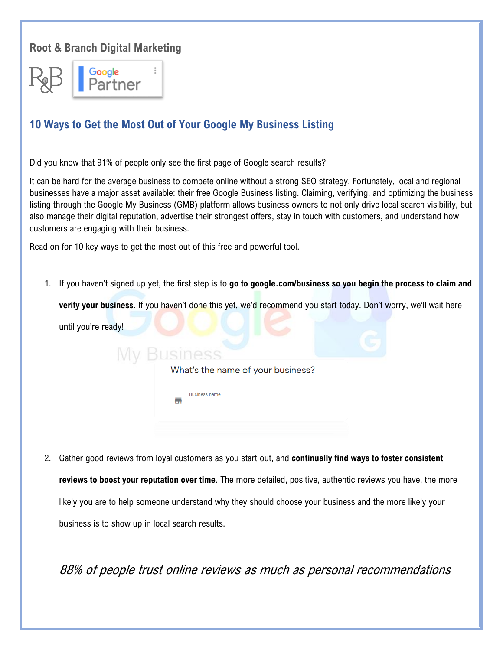## **Root & Branch Digital Marketing**



## **10 Ways to Get the Most Out of Your Google My Business Listing**

Did you know that 91% of people only see the first page of Google search results?

It can be hard for the average business to compete online without a strong SEO strategy. Fortunately, local and regional businesses have a major asset available: their free Google Business listing. Claiming, verifying, and optimizing the business listing through the Google My Business (GMB) platform allows business owners to not only drive local search visibility, but also manage their digital reputation, advertise their strongest offers, stay in touch with customers, and understand how customers are engaging with their business.

Read on for 10 key ways to get the most out of this free and powerful tool.

1. If you haven't signed up yet, the first step is to **go to google.com/business so you begin the process to claim and** 

**verify your business**. If you haven't done this yet, we'd recommend you start today. Don't worry, we'll wait here

| until you're ready! |                                   |  |
|---------------------|-----------------------------------|--|
| <b>Business</b>     |                                   |  |
|                     | What's the name of your business? |  |
| с.                  | <b>Business name</b>              |  |

2. Gather good reviews from loyal customers as you start out, and **continually find ways to foster consistent reviews to boost your reputation over time**. The more detailed, positive, authentic reviews you have, the more likely you are to help someone understand why they should choose your business and the more likely your business is to show up in local search results.

88% of people trust online reviews as much as personal recommendations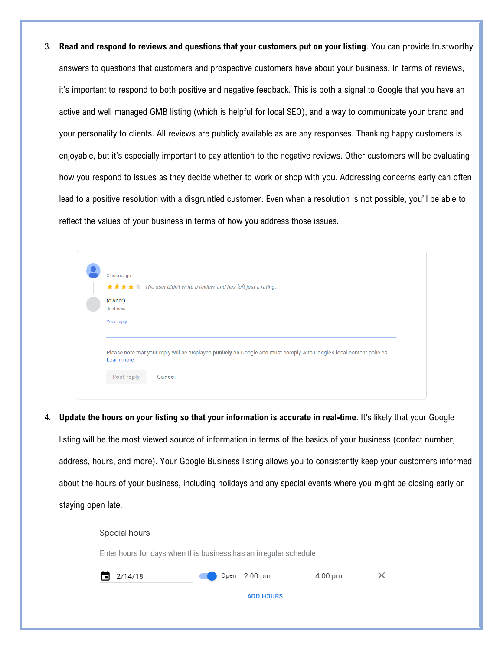3. **Read and respond to reviews and questions that your customers put on your listing**. You can provide trustworthy answers to questions that customers and prospective customers have about your business. In terms of reviews, it's important to respond to both positive and negative feedback. This is both a signal to Google that you have an active and well managed GMB listing (which is helpful for local SEO), and a way to communicate your brand and your personality to clients. All reviews are publicly available as are any responses. Thanking happy customers is enjoyable, but it's especially important to pay attention to the negative reviews. Other customers will be evaluating how you respond to issues as they decide whether to work or shop with you. Addressing concerns early can often lead to a positive resolution with a disgruntled customer. Even when a resolution is not possible, you'll be able to reflect the values of your business in terms of how you address those issues.

| 3 hours ago |                                                                                                                        |
|-------------|------------------------------------------------------------------------------------------------------------------------|
|             | <b>★★★★</b> ★ The user didn't write a review, and has left just a rating.                                              |
| (owner)     |                                                                                                                        |
| Just now    |                                                                                                                        |
| Your reply  |                                                                                                                        |
|             |                                                                                                                        |
|             |                                                                                                                        |
|             |                                                                                                                        |
| Learn more  | Please note that your reply will be displayed publicly on Google and must comply with Google's local content policies. |

4. **Update the hours on your listing so that your information is accurate in real-time**. It's likely that your Google

listing will be the most viewed source of information in terms of the basics of your business (contact number,

address, hours, and more). Your Google Business listing allows you to consistently keep your customers informed about the hours of your business, including holidays and any special events where you might be closing early or staying open late.

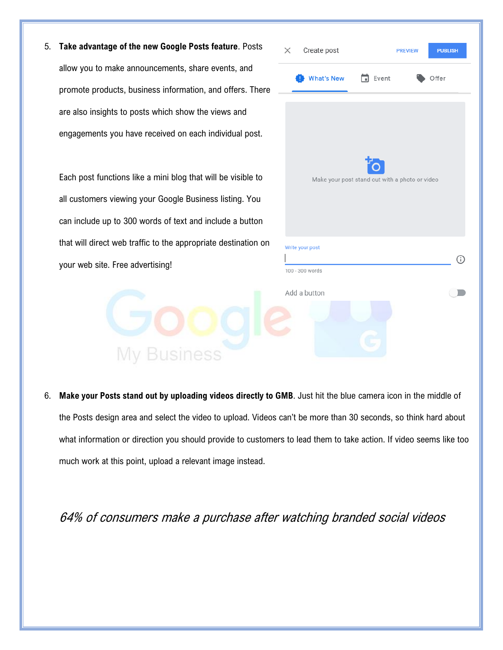5. **Take advantage of the new Google Posts feature**. Posts allow you to make announcements, share events, and promote products, business information, and offers. There are also insights to posts which show the views and engagements you have received on each individual post.

Each post functions like a mini blog that will be visible to all customers viewing your Google Business listing. You can include up to 300 words of text and include a button that will direct web traffic to the appropriate destination on your web site. Free advertising!

**My Business** 

| $\times$ Create post                                 |                                                                 | <b>PREVIEW</b> | <b>PUBLISH</b> |  |
|------------------------------------------------------|-----------------------------------------------------------------|----------------|----------------|--|
|                                                      | <b>What's New <math>\qquad \qquad \blacksquare</math></b> Event |                | Offer          |  |
| Ťλ<br>Make your post stand out with a photo or video |                                                                 |                |                |  |
| Write your post<br>100 - 300 words                   |                                                                 |                | C              |  |
| Add a button                                         |                                                                 |                |                |  |
|                                                      |                                                                 |                |                |  |

6. **Make your Posts stand out by uploading videos directly to GMB**. Just hit the blue camera icon in the middle of the Posts design area and select the video to upload. Videos can't be more than 30 seconds, so think hard about what information or direction you should provide to customers to lead them to take action. If video seems like too much work at this point, upload a relevant image instead.

64% of consumers make a purchase after watching branded social videos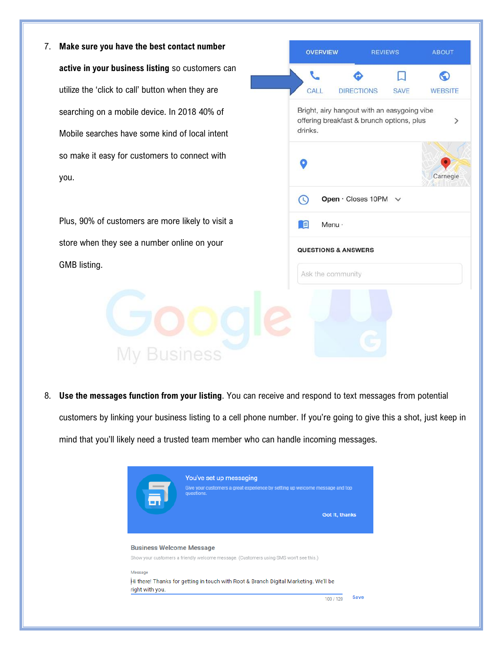7. **Make sure you have the best contact number active in your business listing** so customers can utilize the 'click to call' button when they are searching on a mobile device. In 2018 40% of Mobile searches have some kind of local intent so make it easy for customers to connect with you.

Plus, 90% of customers are more likely to visit a store when they see a number online on your GMB listing.



8. **Use the messages function from your listing**. You can receive and respond to text messages from potential customers by linking your business listing to a cell phone number. If you're going to give this a shot, just keep in mind that you'll likely need a trusted team member who can handle incoming messages.

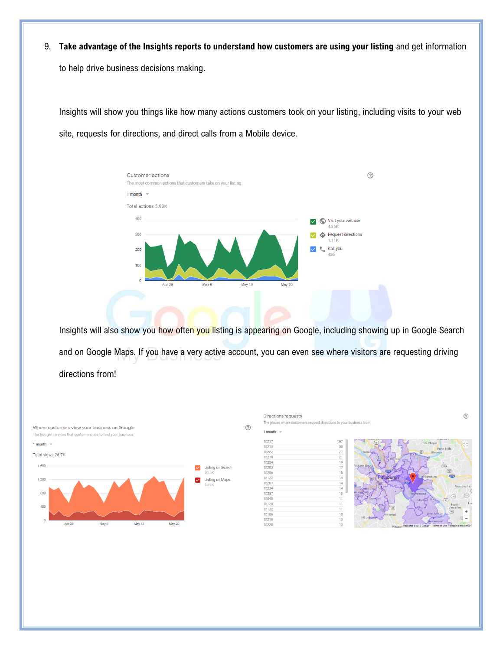9. **Take advantage of the Insights reports to understand how customers are using your listing** and get information

to help drive business decisions making.

Insights will show you things like how many actions customers took on your listing, including visits to your web site, requests for directions, and direct calls from a Mobile device.



Insights will also show you how often you listing is appearing on Google, including showing up in Google Search and on Google Maps. If you have a very active account, you can even see where visitors are requesting driving directions from!



Directions requests The places where custo ners request directions to your business from 1 month  $\sqrt{ }$ 15217  $107$  $15213$  $rac{1}{50}$ 15222 27<br>21<br>19<br>17<br>15<br>14<br>14<br>14 15219<br>15224 15203 15206 15122 15207<br>15234 15237  $\overline{15}$ 15045  $\frac{11}{11}$   $\frac{11}{10}$ 15120 15132<br>15106 15218  $10$ 15223



 $\odot$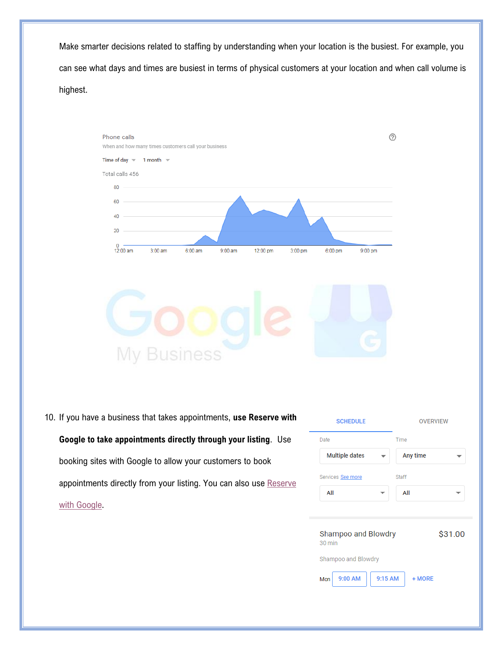Make smarter decisions related to staffing by understanding when your location is the busiest. For example, you can see what days and times are busiest in terms of physical customers at your location and when call volume is highest.



10. If you have a business that takes appointments, **use Reserve with Google to take appointments directly through your listing**. Use booking sites with Google to allow your customers to book appointments directly from your listing. You can also use Reserve

[with Google.](https://support.google.com/reserve/answer/7513050?hl=en&ref_topic=7512435)

**SCHEDULE OVERVIEW** Date Time **Multiple dates** Any time  $\overline{\phantom{a}}$ Staff Services See more All All  $\overline{\phantom{0}}$ Shampoo and Blowdry \$31.00 30 min Shampoo and Blowdry 9:00 AM 9:15 AM + MORE Mon